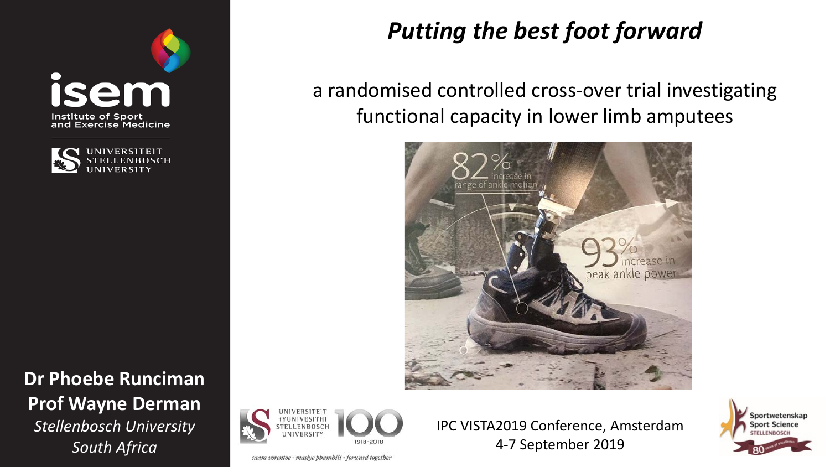



**Dr Phoebe Runciman Prof Wayne Derman** *Stellenbosch University South Africa*



saam vorentoe · masiye phambili · forward together

*Putting the best foot forward*

a randomised controlled cross-over trial investigating functional capacity in lower limb amputees



IPC VISTA2019 Conference, Amsterdam

4-7 September 2019

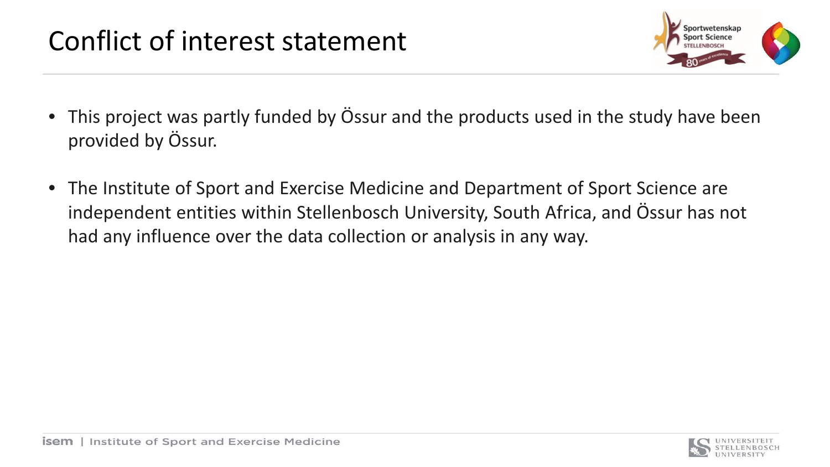## Conflict of interest statement



- This project was partly funded by Össur and the products used in the study have been provided by Össur.
- The Institute of Sport and Exercise Medicine and Department of Sport Science are independent entities within Stellenbosch University, South Africa, and Össur has not had any influence over the data collection or analysis in any way.

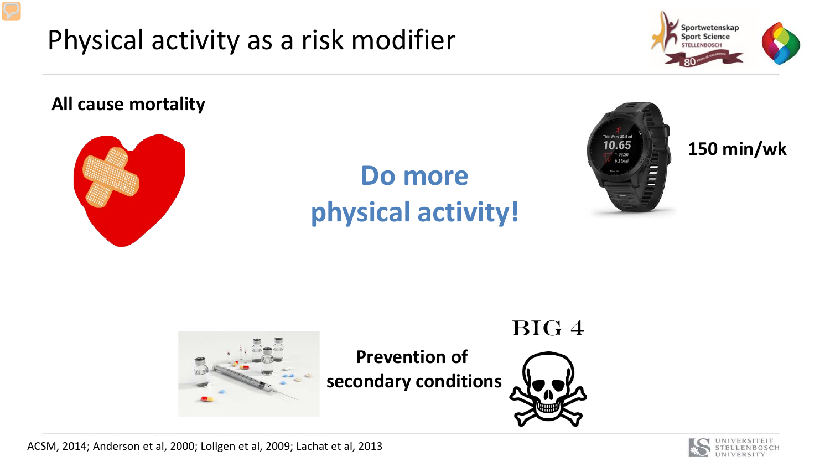



#### **All cause mortality**



# **Do more physical activity!**



#### **150 min/wk**





ACSM, 2014; Anderson et al, 2000; Lollgen et al, 2009; Lachat et al, 2013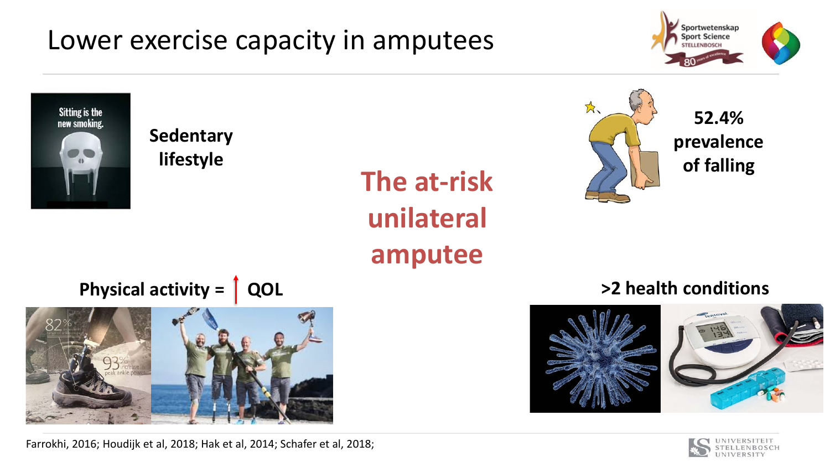### Lower exercise capacity in amputees





**Sedentary lifestyle**

# **The at-risk unilateral amputee**



**52.4% prevalence of falling**

**Physical activity = | QOL** 



Farrokhi, 2016; Houdijk et al, 2018; Hak et al, 2014; Schafer et al, 2018;

### **>2 health conditions**



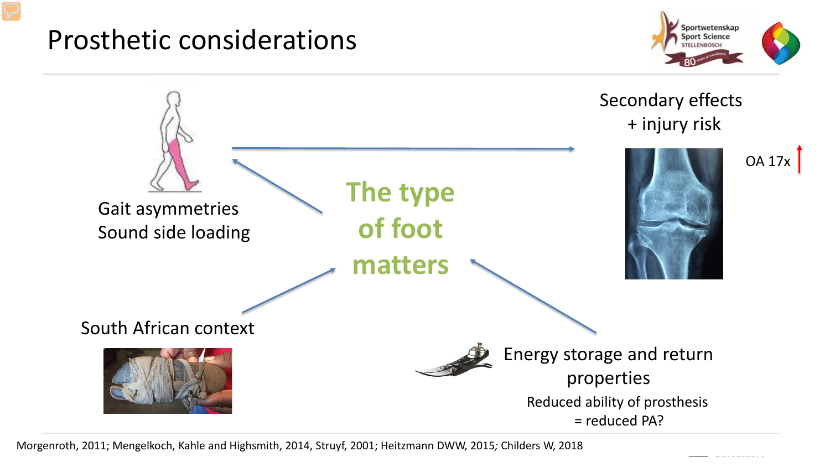### Prosthetic considerations





Morgenroth, 2011; Mengelkoch, Kahle and Highsmith, 2014, Struyf, 2001; Heitzmann DWW, 2015*;* Childers W, 2018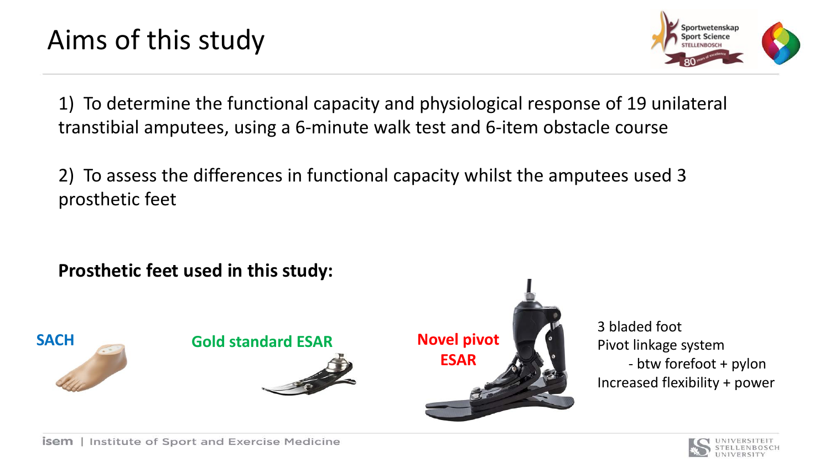

1) To determine the functional capacity and physiological response of 19 unilateral transtibial amputees, using a 6-minute walk test and 6-item obstacle course

2) To assess the differences in functional capacity whilst the amputees used 3 prosthetic feet

**Prosthetic feet used in this study:**



3 bladed foot Pivot linkage system - btw forefoot + pylon Increased flexibility + power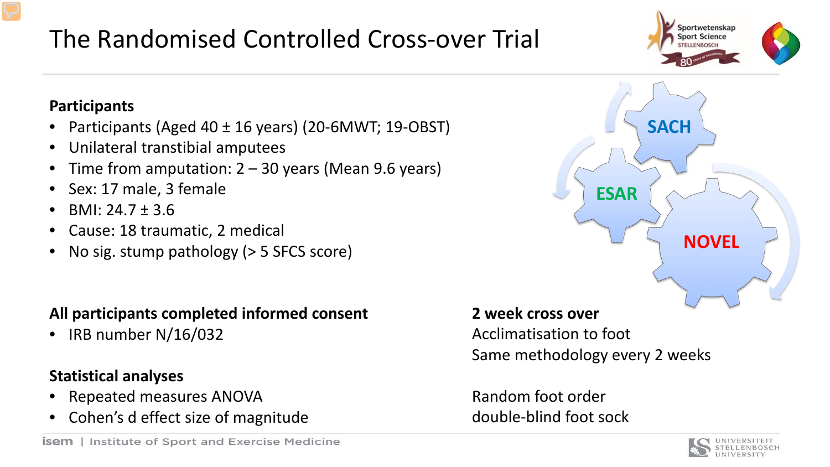#### **Participants**

- Participants (Aged 40 ± 16 years) (20-6MWT; 19-OBST)
- Unilateral transtibial amputees
- Time from amputation:  $2 30$  years (Mean 9.6 years)
- Sex: 17 male, 3 female
- BMI:  $24.7 \pm 3.6$
- Cause: 18 traumatic, 2 medical
- No sig. stump pathology ( $>$  5 SFCS score)

#### **All participants completed informed consent**

• IRB number N/16/032

#### **Statistical analyses**

- Repeated measures ANOVA
- Cohen's d effect size of magnitude

#### **2 week cross over**

Acclimatisation to foot Same methodology every 2 weeks

Random foot order double-blind foot sock





**NOVEL ESAR SACH**

### The Randomised Controlled Cross-over Trial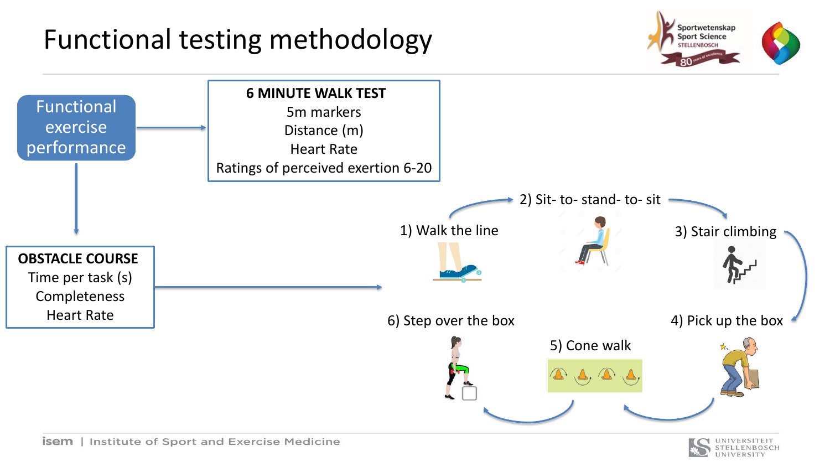### Functional testing methodology



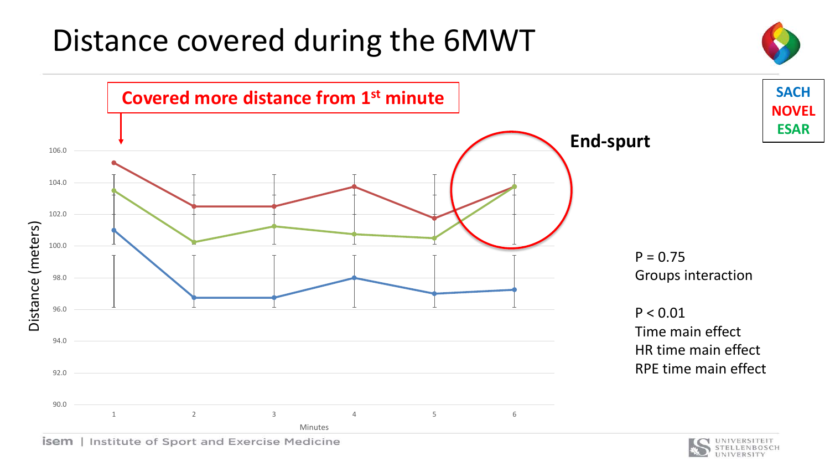# Distance covered during the 6MWT







**SACH**

**NOVEL**

**ESAR**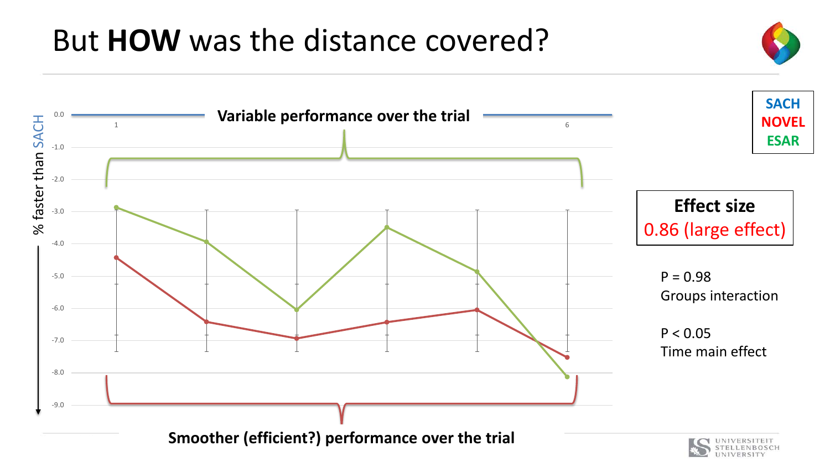# But **HOW** was the distance covered?

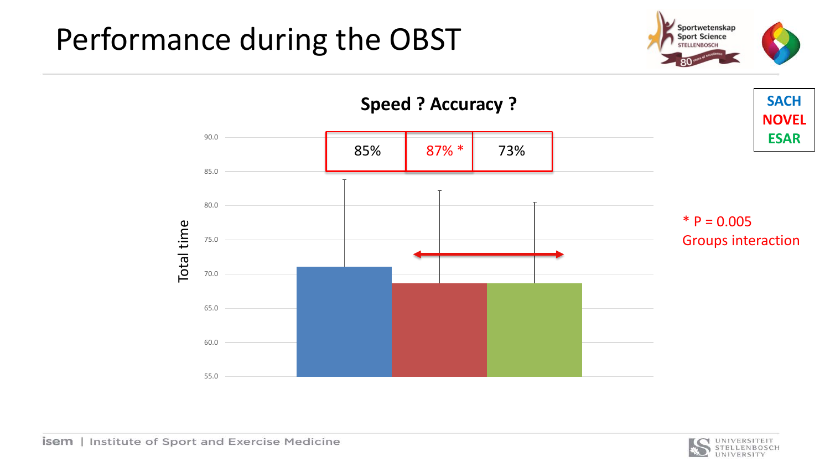# Performance during the OBST





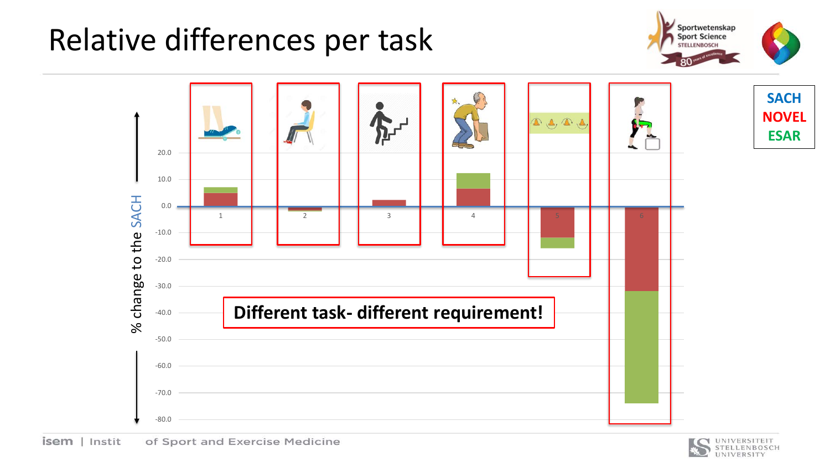# Relative differences per task





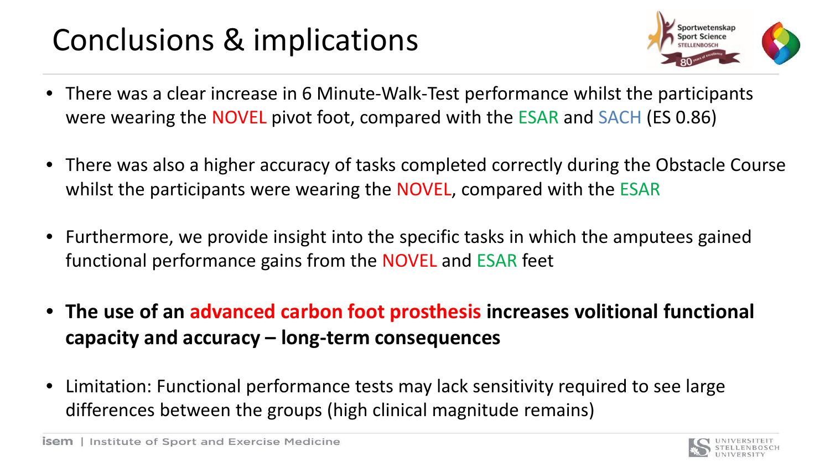# Conclusions & implications



- There was a clear increase in 6 Minute-Walk-Test performance whilst the participants were wearing the NOVEL pivot foot, compared with the ESAR and SACH (ES 0.86)
- There was also a higher accuracy of tasks completed correctly during the Obstacle Course whilst the participants were wearing the NOVEL, compared with the ESAR
- Furthermore, we provide insight into the specific tasks in which the amputees gained functional performance gains from the NOVEL and ESAR feet
- **The use of an advanced carbon foot prosthesis increases volitional functional capacity and accuracy – long-term consequences**
- Limitation: Functional performance tests may lack sensitivity required to see large differences between the groups (high clinical magnitude remains)